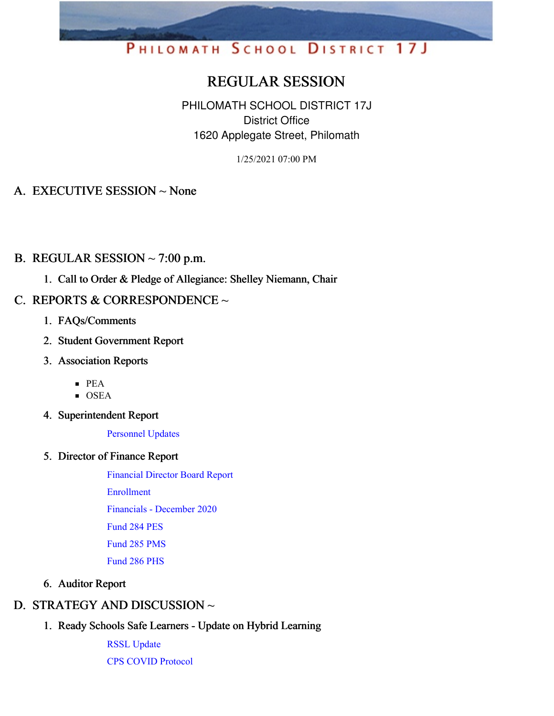# PHILOMATH SCHOOL DISTRICT 17J

# REGULAR SESSION

PHILOMATH SCHOOL DISTRICT 17J District Office 1620 Applegate Street, Philomath

1/25/2021 07:00 PM

# A. EXECUTIVE SESSION ~ None

# B. REGULAR SESSION  $\sim$  7:00 p.m.

1. Call to Order & Pledge of Allegiance: Shelley Niemann, Chair

# C. REPORTS & CORRESPONDENCE  $\sim$

- 1. FAQs/Comments
- 2. Student Government Report
- 3. Association Reports
	- PEA
	- $\overline{\text{OSEA}}$
- 4. Superintendent Report

[Personnel](https://app.eduportal.com/documents/view/781207) Updates

5. Director of Finance Report

[Financial](https://app.eduportal.com/documents/view/781432) Director Board Report [Enrollment](https://app.eduportal.com/documents/view/781443) [Financials](https://app.eduportal.com/documents/view/781434) - December 2020 [Fund](https://app.eduportal.com/documents/view/781438) 284 PES [Fund](https://app.eduportal.com/documents/view/781436) 285 PMS [Fund](https://app.eduportal.com/documents/view/781437) 286 PHS

#### 6. Auditor Report

# D. STRATEGY AND DISCUSSION ~

1. Ready Schools Safe Learners - Update on Hybrid Learning

RSSL [Update](https://app.eduportal.com/documents/view/781498) CPS COVID [Protocol](https://app.eduportal.com/documents/view/781126)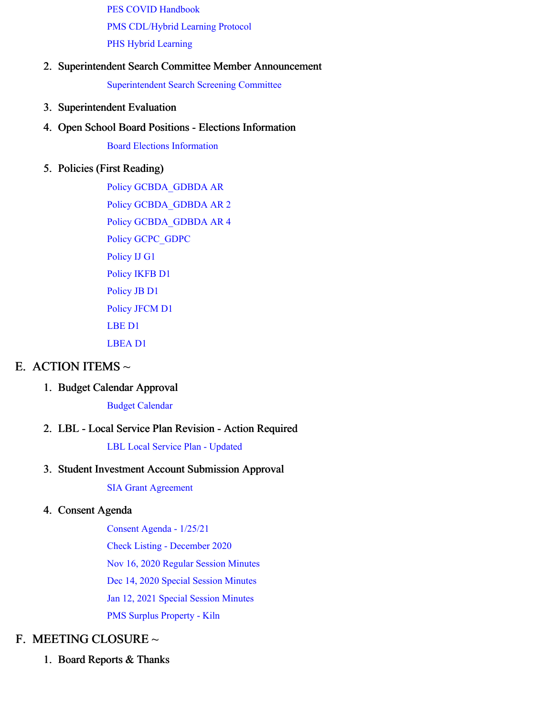PES COVID [Handbook](https://app.eduportal.com/documents/view/781271) PMS [CDL/Hybrid](https://app.eduportal.com/documents/view/781269) Learning Protocol PHS Hybrid [Learning](https://app.eduportal.com/documents/view/781431)

#### 2. Superintendent Search Committee Member Announcement

[Superintendent](https://app.eduportal.com/documents/view/781495) Search Screening Committee

- 3. Superintendent Evaluation
- 4. Open School Board Positions Elections Information

Board Elections [Information](https://app.eduportal.com/documents/view/781212)

#### 5. Policies (First Reading)

Policy [GCBDA\\_GDBDA](https://app.eduportal.com/documents/view/781191) AR Policy [GCBDA\\_GDBDA](https://app.eduportal.com/documents/view/781192) AR 2 Policy [GCBDA\\_GDBDA](https://app.eduportal.com/documents/view/781193) AR 4 Policy [GCPC\\_GDPC](https://app.eduportal.com/documents/view/781194) [Policy](https://app.eduportal.com/documents/view/781195) IJ G1 [Policy](https://app.eduportal.com/documents/view/781196) IKFB D1 [Policy](https://app.eduportal.com/documents/view/781197) JB D1 [Policy](https://app.eduportal.com/documents/view/781198) JFCM D1 [LBE](https://app.eduportal.com/documents/view/781199) D1 [LBEA](https://app.eduportal.com/documents/view/781200) D1

# E. ACTION ITEMS  $\sim$

### 1. Budget Calendar Approval

Budget [Calendar](https://app.eduportal.com/documents/view/781130)

# 2. LBL - Local Service Plan Revision - Action Required

LBL Local Service Plan - [Updated](https://app.eduportal.com/documents/view/781128)

#### 3. Student Investment Account Submission Approval

SIA Grant [Agreement](https://app.eduportal.com/documents/view/781441)

#### 4. Consent Agenda

[Consent](https://app.eduportal.com/documents/view/781442) Agenda - 1/25/21

Check Listing - [December](https://app.eduportal.com/documents/view/781435) 2020

Nov 16, 2020 Regular Session [Minutes](https://app.eduportal.com/documents/view/781189)

Dec 14, 2020 Special Session [Minutes](https://app.eduportal.com/documents/view/781188)

Jan 12, 2021 Special Session [Minutes](https://app.eduportal.com/documents/view/781190)

PMS Surplus [Property](https://app.eduportal.com/documents/view/781129) - Kiln

# F. MEETING CLOSURE ~

1. Board Reports & Thanks